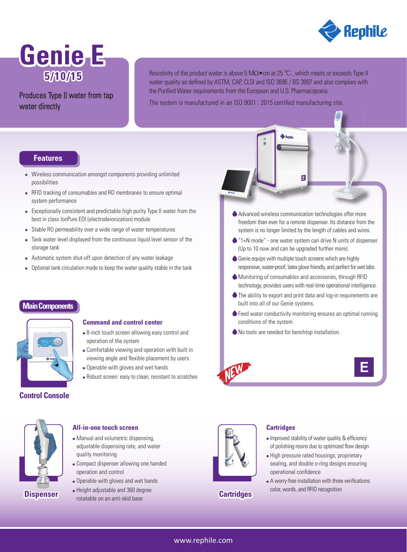

# **Genie E 5/10/15**

# Produces Type II water from tap water directly

Resistivity of the product water is above 5 MΩ•cm at 25 °C, which meets or exceeds Type II water quality as defined by ASTM, CAP, CLSI and ISO 3696 / BS 3997 and also complies with the Purified Water requirements from the European and U.S. Pharmacopoeia.

The system is manufactured in an ISO 9001 : 2015 certified manufacturing site.

## **Features**

- Wireless communication amongst components providing unlimited possibilities
- RFID tracking of consumables and RO membranes to ensure optimal system performance
- Exceptionally consistent and predictable high purity Type II water from the best in class IonPure EDI (electrodeionization) module
- Stable RO permeability over a wide range of water temperatures
- Tank water level displayed from the continuous liquid level sensor of the storage tank
- Automatic system shut-off upon detection of any water leakage
- Optional tank circulation mode to keep the water quality stable in the tank

# **Main Components**



### **Command and control center**

- 8-inch touch screen allowing easy control and operation of the system
- Comfortable viewing and operation with built in viewing angle and flexible placement by users
- Operable with gloves and wet hands
- Robust screen: easy to clean, resistant to scratches

### **Control Console**





- Manual and volumetric dispensing, adjustable dispensing rate, and water quality monitoring
- Compact dispenser allowing one handed operation and control
- Operable with gloves and wet hands
- Height adjustable and 360 degree **Dispenser b reight** adjustable and 300 det



**Cartridges**

### **Cartridges**

- Improved stability of water quality & efficiency of polishing resins due to optimized flow design
- High pressure rated housings, proprietary sealing, and double o-ring designs ensuring operational confidence
- A worry-free installation with three verifications: color, words, and RFID recognition

Advanced wireless communication technologies offer more freedom than ever for a remote dispenser. Its distance from the system is no longer limited by the length of cables and wires.

E

- "1+N mode" one water system can drive N units of dispenser (Up to 10 now and can be upgraded further more).
- Genie equips with multiple touch screens which are highly responsive, water-proof, latex glove friendly, and perfect for wet labs.
- Monitoring of consumables and accessories, through RFID technology, provides users with real-time operational intelligence.
- The ability to export and print data and log-in requirements are built into all of our Genie systems.
- ◆ Feed water conductivity monitoring ensures an optimal running conditions of the system.
- No tools are needed for benchtop installation.